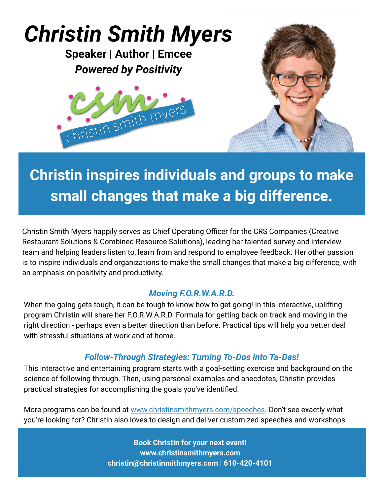# *Christin Smith Myers* **Speaker | Author | Emcee** *Powered by Positivity* christin smith myer

## **Christin inspires individuals and groups to make small changes that make a big difference.**

Christin Smith Myers happily serves as Chief Operating Officer for the CRS Companies (Creative Restaurant Solutions & Combined Resource Solutions), leading her talented survey and interview team and helping leaders listen to, learn from and respond to employee feedback. Her other passion is to inspire individuals and organizations to make the small changes that make a big difference, with an emphasis on positivity and productivity.

#### *Moving F.O.R.W.A.R.D.*

When the going gets tough, it can be tough to know how to get going! In this interactive, uplifting program Christin will share her F.O.R.W.A.R.D. Formula for getting back on track and moving in the right direction - perhaps even a better direction than before. Practical tips will help you better deal with stressful situations at work and at home.

#### *Follow-Through Strategies: Turning To-Dos into Ta-Das!*

This interactive and entertaining program starts with a goal-setting exercise and background on the science of following through. Then, using personal examples and anecdotes, Christin provides practical strategies for accomplishing the goals you've identified.

More programs can be found at [www.christinsmithmyers.com/speeches.](http://www.christinsmithmyers.com/speeches) Don't see exactly what you're looking for? Christin also loves to design and deliver customized speeches and workshops.

> **Book Christin for your next event! www.christinsmithmyers.com christin@christinmithmyers.com | 610-420-4101**